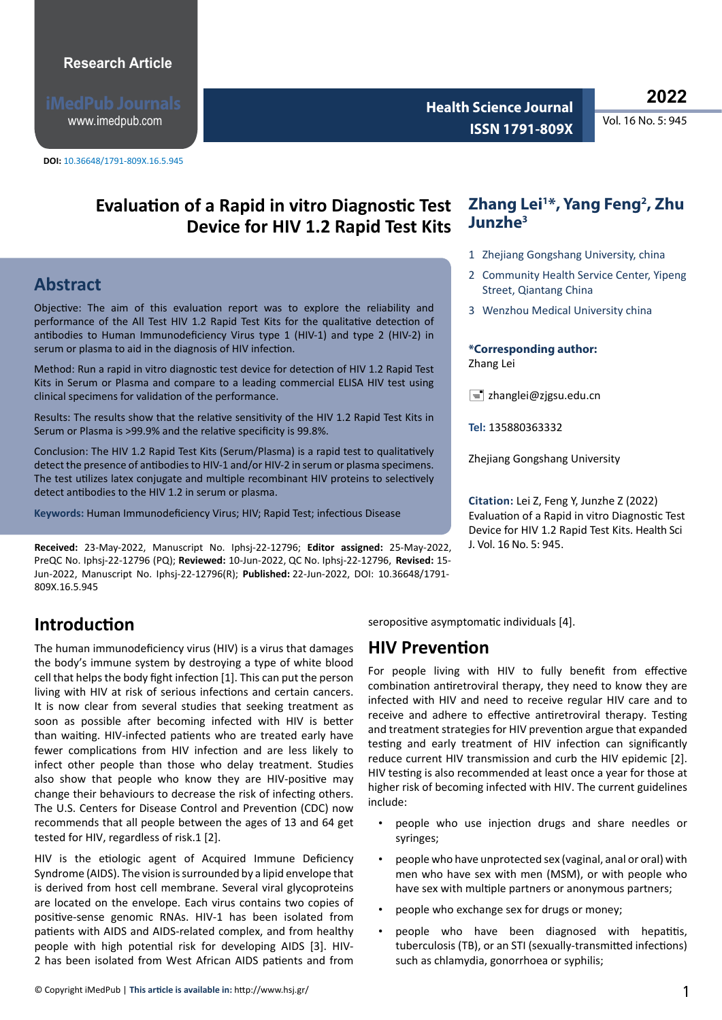www.imedpub.com

**Health Science Journal Vol. 16 No. 5: 945 ISSN 1791-809X** 

# Evaluation of a Rapid in vitro Diagnostic Test Zhang Lei<sup>1\*</sup>, Yang Feng<sup>2</sup>, Zhu **Device for HIV 1.2 Rapid Test Kits**

# **Abstract**

Objective: The aim of this evaluation report was to explore the reliability and performance of the All Test HIV 1.2 Rapid Test Kits for the qualitative detection of antibodies to Human Immunodeficiency Virus type 1 (HIV-1) and type 2 (HIV-2) in serum or plasma to aid in the diagnosis of HIV infection.

Method: Run a rapid in vitro diagnostic test device for detection of HIV 1.2 Rapid Test Kits in Serum or Plasma and compare to a leading commercial ELISA HIV test using clinical specimens for validation of the performance.

Results: The results show that the relative sensitivity of the HIV 1.2 Rapid Test Kits in Serum or Plasma is >99.9% and the relative specificity is 99.8%.

Conclusion: The HIV 1.2 Rapid Test Kits (Serum/Plasma) is a rapid test to qualitatively detect the presence of antibodies to HIV-1 and/or HIV-2 in serum or plasma specimens. The test utilizes latex conjugate and multiple recombinant HIV proteins to selectively detect antibodies to the HIV 1.2 in serum or plasma.

**Keywords:** Human Immunodeficiency Virus; HIV; Rapid Test; infectious Disease

**Received:** 23-May-2022, Manuscript No. Iphsj-22-12796; **Editor assigned:** 25-May-2022, J. Vol. 16 No. 5: 945. PreQC No. Iphsj-22-12796 (PQ); **Reviewed:** 10-Jun-2022, QC No. Iphsj-22-12796, **Revised:** 15- Jun-2022, Manuscript No. Iphsj-22-12796(R); **Published:** 22-Jun-2022, DOI: 10.36648/1791- 809X.16.5.945

# **Introduction**

The human immunodeficiency virus (HIV) is a virus that damages the body's immune system by destroying a type of white blood cell that helps the body fight infection [1]. This can put the person living with HIV at risk of serious infections and certain cancers. It is now clear from several studies that seeking treatment as soon as possible after becoming infected with HIV is better than waiting. HIV-infected patients who are treated early have fewer complications from HIV infection and are less likely to infect other people than those who delay treatment. Studies also show that people who know they are HIV-positive may change their behaviours to decrease the risk of infecting others. The U.S. Centers for Disease Control and Prevention (CDC) now recommends that all people between the ages of 13 and 64 get tested for HIV, regardless of risk.1 [2].

HIV is the etiologic agent of Acquired Immune Deficiency Syndrome (AIDS). The vision is surrounded by a lipid envelope that is derived from host cell membrane. Several viral glycoproteins are located on the envelope. Each virus contains two copies of positive-sense genomic RNAs. HIV-1 has been isolated from patients with AIDS and AIDS-related complex, and from healthy people with high potential risk for developing AIDS [3]. HIV-2 has been isolated from West African AIDS patients and from

# **Junzhe3**

- 1 Zhejiang Gongshang University, china
- 2 Community Health Service Center, Yipeng Street, Qiantang China
- 3 Wenzhou Medical University china

#### **\*Corresponding author:**  Zhang Lei

 $\equiv$  zhanglei@zjgsu.edu.cn

**Tel:** 135880363332

Zhejiang Gongshang University

**Citation:** Lei Z, Feng Y, Junzhe Z (2022) Evaluation of a Rapid in vitro Diagnostic Test Device for HIV 1.2 Rapid Test Kits. Health Sci

seropositive asymptomatic individuals [4].

## **HIV Prevention**

For people living with HIV to fully benefit from effective combination antiretroviral therapy, they need to know they are infected with HIV and need to receive regular HIV care and to receive and adhere to effective antiretroviral therapy. Testing and treatment strategies for HIV prevention argue that expanded testing and early treatment of HIV infection can significantly reduce current HIV transmission and curb the HIV epidemic [2]. HIV testing is also recommended at least once a year for those at higher risk of becoming infected with HIV. The current guidelines include:

- people who use injection drugs and share needles or syringes;
- people who have unprotected sex (vaginal, anal or oral) with men who have sex with men (MSM), or with people who have sex with multiple partners or anonymous partners;
- people who exchange sex for drugs or money;
- people who have been diagnosed with hepatitis, tuberculosis (TB), or an STI (sexually-transmitted infections) such as chlamydia, gonorrhoea or syphilis;